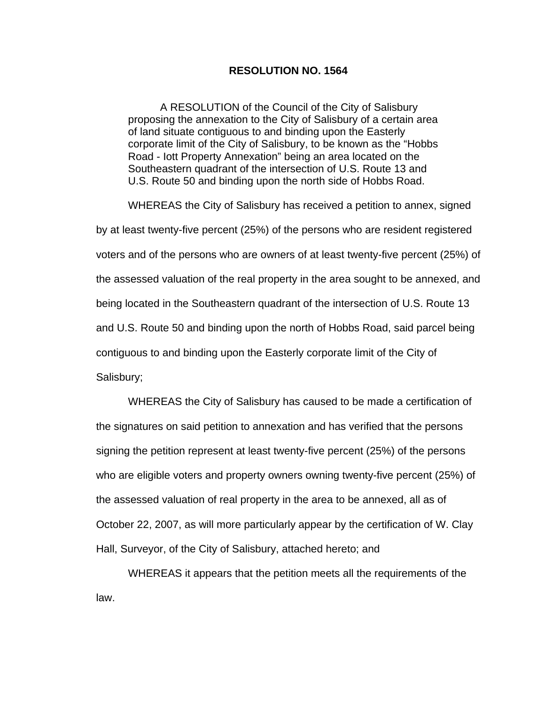## **RESOLUTION NO. 1564**

A RESOLUTION of the Council of the City of Salisbury proposing the annexation to the City of Salisbury of a certain area of land situate contiguous to and binding upon the Easterly corporate limit of the City of Salisbury, to be known as the "Hobbs Road - Iott Property Annexation" being an area located on the Southeastern quadrant of the intersection of U.S. Route 13 and U.S. Route 50 and binding upon the north side of Hobbs Road.

WHEREAS the City of Salisbury has received a petition to annex, signed by at least twenty-five percent (25%) of the persons who are resident registered voters and of the persons who are owners of at least twenty-five percent (25%) of the assessed valuation of the real property in the area sought to be annexed, and being located in the Southeastern quadrant of the intersection of U.S. Route 13 and U.S. Route 50 and binding upon the north of Hobbs Road, said parcel being contiguous to and binding upon the Easterly corporate limit of the City of Salisbury;

WHEREAS the City of Salisbury has caused to be made a certification of the signatures on said petition to annexation and has verified that the persons signing the petition represent at least twenty-five percent (25%) of the persons who are eligible voters and property owners owning twenty-five percent (25%) of the assessed valuation of real property in the area to be annexed, all as of October 22, 2007, as will more particularly appear by the certification of W. Clay Hall, Surveyor, of the City of Salisbury, attached hereto; and

WHEREAS it appears that the petition meets all the requirements of the law.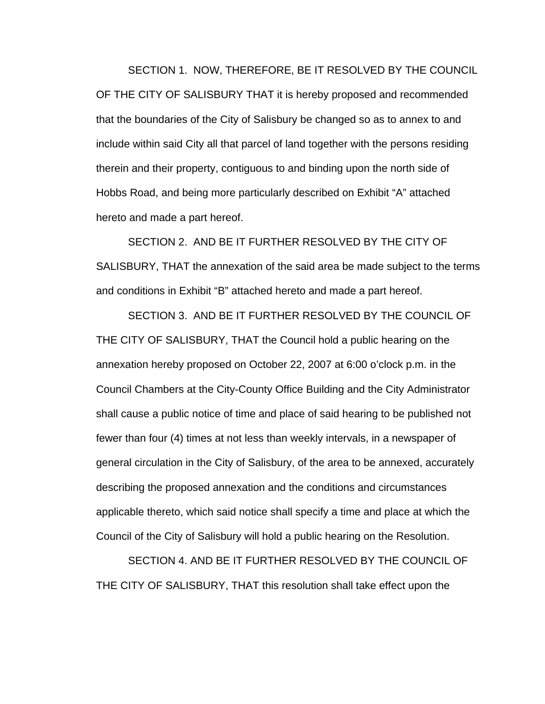SECTION 1. NOW, THEREFORE, BE IT RESOLVED BY THE COUNCIL OF THE CITY OF SALISBURY THAT it is hereby proposed and recommended that the boundaries of the City of Salisbury be changed so as to annex to and include within said City all that parcel of land together with the persons residing therein and their property, contiguous to and binding upon the north side of Hobbs Road, and being more particularly described on Exhibit "A" attached hereto and made a part hereof.

SECTION 2. AND BE IT FURTHER RESOLVED BY THE CITY OF SALISBURY, THAT the annexation of the said area be made subject to the terms and conditions in Exhibit "B" attached hereto and made a part hereof.

SECTION 3. AND BE IT FURTHER RESOLVED BY THE COUNCIL OF THE CITY OF SALISBURY, THAT the Council hold a public hearing on the annexation hereby proposed on October 22, 2007 at 6:00 o'clock p.m. in the Council Chambers at the City-County Office Building and the City Administrator shall cause a public notice of time and place of said hearing to be published not fewer than four (4) times at not less than weekly intervals, in a newspaper of general circulation in the City of Salisbury, of the area to be annexed, accurately describing the proposed annexation and the conditions and circumstances applicable thereto, which said notice shall specify a time and place at which the Council of the City of Salisbury will hold a public hearing on the Resolution.

SECTION 4. AND BE IT FURTHER RESOLVED BY THE COUNCIL OF THE CITY OF SALISBURY, THAT this resolution shall take effect upon the